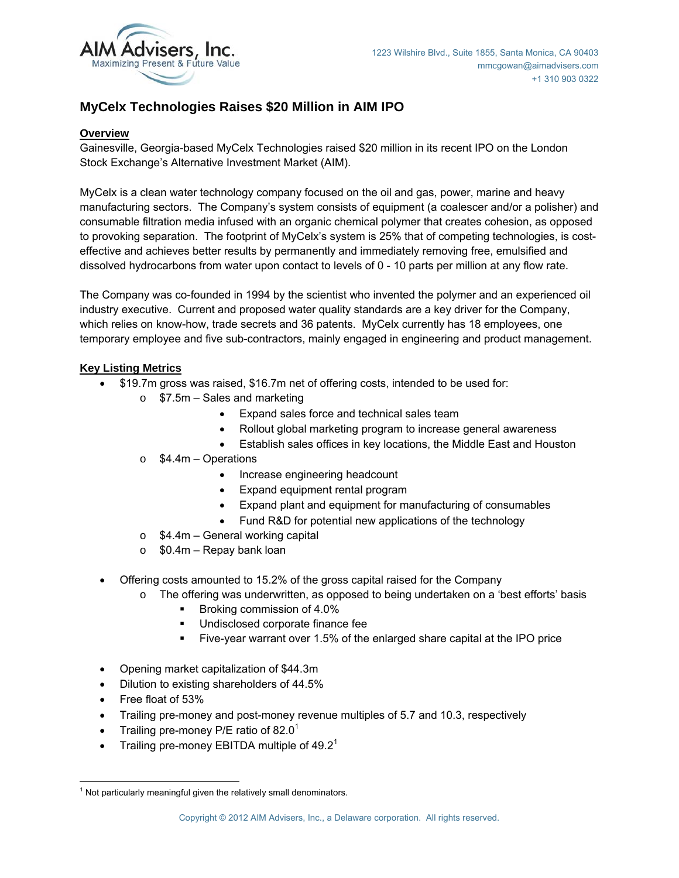

# **MyCelx Technologies Raises \$20 Million in AIM IPO**

## **Overview**

Gainesville, Georgia-based MyCelx Technologies raised \$20 million in its recent IPO on the London Stock Exchange's Alternative Investment Market (AIM).

MyCelx is a clean water technology company focused on the oil and gas, power, marine and heavy manufacturing sectors. The Company's system consists of equipment (a coalescer and/or a polisher) and consumable filtration media infused with an organic chemical polymer that creates cohesion, as opposed to provoking separation. The footprint of MyCelx's system is 25% that of competing technologies, is costeffective and achieves better results by permanently and immediately removing free, emulsified and dissolved hydrocarbons from water upon contact to levels of 0 - 10 parts per million at any flow rate.

The Company was co-founded in 1994 by the scientist who invented the polymer and an experienced oil industry executive. Current and proposed water quality standards are a key driver for the Company, which relies on know-how, trade secrets and 36 patents. MyCelx currently has 18 employees, one temporary employee and five sub-contractors, mainly engaged in engineering and product management.

## **Key Listing Metrics**

- \$19.7m gross was raised, \$16.7m net of offering costs, intended to be used for:
	- $\circ$  \$7.5m Sales and marketing
		- **Expand sales force and technical sales team**
		- Rollout global marketing program to increase general awareness
		- Establish sales offices in key locations, the Middle East and Houston
	- o \$4.4m Operations
		- Increase engineering headcount
		- Expand equipment rental program
		- Expand plant and equipment for manufacturing of consumables
		- Fund R&D for potential new applications of the technology
	- $\circ$  \$4.4m General working capital
	- $\circ$  \$0.4m Repay bank loan
- Offering costs amounted to 15.2% of the gross capital raised for the Company
	- o The offering was underwritten, as opposed to being undertaken on a 'best efforts' basis
		- **Broking commission of 4.0%**
		- Undisclosed corporate finance fee
		- Five-year warrant over 1.5% of the enlarged share capital at the IPO price
- Opening market capitalization of \$44.3m
- Dilution to existing shareholders of 44.5%
- Free float of 53%
- Trailing pre-money and post-money revenue multiples of 5.7 and 10.3, respectively
- Trailing pre-money P/E ratio of 82.0<sup>1</sup>
- Trailing pre-money EBITDA multiple of  $49.2<sup>1</sup>$

  $1$  Not particularly meaningful given the relatively small denominators.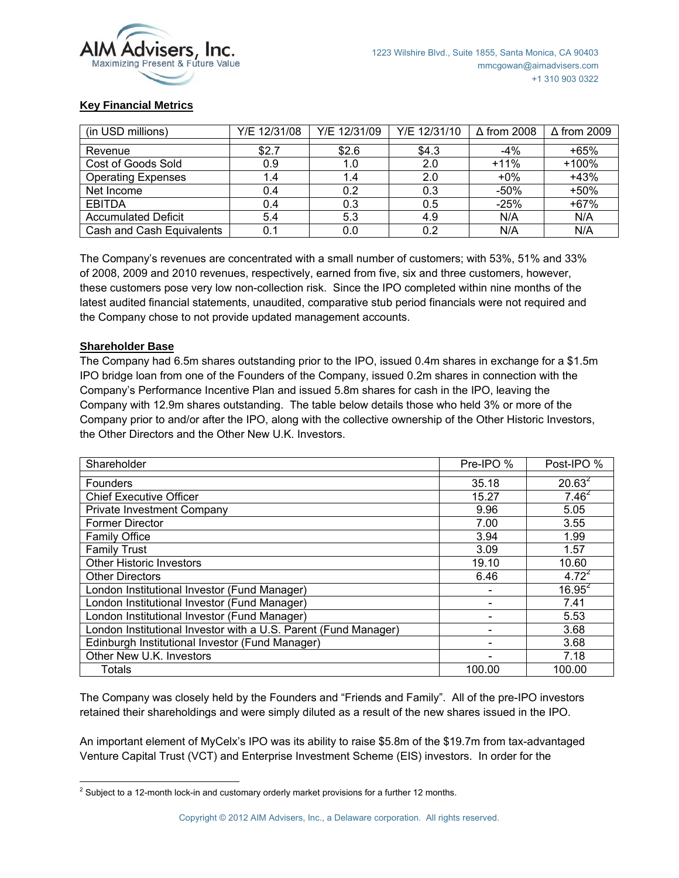

## **Key Financial Metrics**

| (in USD millions)          | Y/E 12/31/08 | Y/E 12/31/09 | Y/E 12/31/10 | $\Delta$ from 2008 | $\Delta$ from 2009 |
|----------------------------|--------------|--------------|--------------|--------------------|--------------------|
| Revenue                    | \$2.7        | \$2.6        | \$4.3        | $-4%$              | $+65%$             |
| Cost of Goods Sold         | 0.9          | 1.0          | 2.0          | $+11%$             | $+100%$            |
| <b>Operating Expenses</b>  | 1.4          | 1.4          | 2.0          | $+0\%$             | $+43%$             |
| Net Income                 | 0.4          | 0.2          | 0.3          | $-50%$             | $+50%$             |
| <b>EBITDA</b>              | 0.4          | 0.3          | 0.5          | $-25%$             | $+67%$             |
| <b>Accumulated Deficit</b> | 5.4          | 5.3          | 4.9          | N/A                | N/A                |
| Cash and Cash Equivalents  | 0.1          | 0.0          | 0.2          | N/A                | N/A                |

The Company's revenues are concentrated with a small number of customers; with 53%, 51% and 33% of 2008, 2009 and 2010 revenues, respectively, earned from five, six and three customers, however, these customers pose very low non-collection risk. Since the IPO completed within nine months of the latest audited financial statements, unaudited, comparative stub period financials were not required and the Company chose to not provide updated management accounts.

#### **Shareholder Base**

The Company had 6.5m shares outstanding prior to the IPO, issued 0.4m shares in exchange for a \$1.5m IPO bridge loan from one of the Founders of the Company, issued 0.2m shares in connection with the Company's Performance Incentive Plan and issued 5.8m shares for cash in the IPO, leaving the Company with 12.9m shares outstanding. The table below details those who held 3% or more of the Company prior to and/or after the IPO, along with the collective ownership of the Other Historic Investors, the Other Directors and the Other New U.K. Investors.

| Shareholder                                                     | Pre-IPO % | Post-IPO % |
|-----------------------------------------------------------------|-----------|------------|
| <b>Founders</b>                                                 | 35.18     | $20.63^2$  |
| <b>Chief Executive Officer</b>                                  | 15.27     | $7.46^2$   |
| <b>Private Investment Company</b>                               | 9.96      | 5.05       |
| <b>Former Director</b>                                          | 7.00      | 3.55       |
| <b>Family Office</b>                                            | 3.94      | 1.99       |
| <b>Family Trust</b>                                             | 3.09      | 1.57       |
| <b>Other Historic Investors</b>                                 | 19.10     | 10.60      |
| <b>Other Directors</b>                                          | 6.46      | $4.72^{2}$ |
| London Institutional Investor (Fund Manager)                    |           | $16.95^2$  |
| London Institutional Investor (Fund Manager)                    |           | 7.41       |
| London Institutional Investor (Fund Manager)                    |           | 5.53       |
| London Institutional Investor with a U.S. Parent (Fund Manager) |           | 3.68       |
| Edinburgh Institutional Investor (Fund Manager)                 |           | 3.68       |
| Other New U.K. Investors                                        |           | 7.18       |
| Totals                                                          | 100.00    | 100.00     |

The Company was closely held by the Founders and "Friends and Family". All of the pre-IPO investors retained their shareholdings and were simply diluted as a result of the new shares issued in the IPO.

An important element of MyCelx's IPO was its ability to raise \$5.8m of the \$19.7m from tax-advantaged Venture Capital Trust (VCT) and Enterprise Investment Scheme (EIS) investors. In order for the

  $2$  Subject to a 12-month lock-in and customary orderly market provisions for a further 12 months.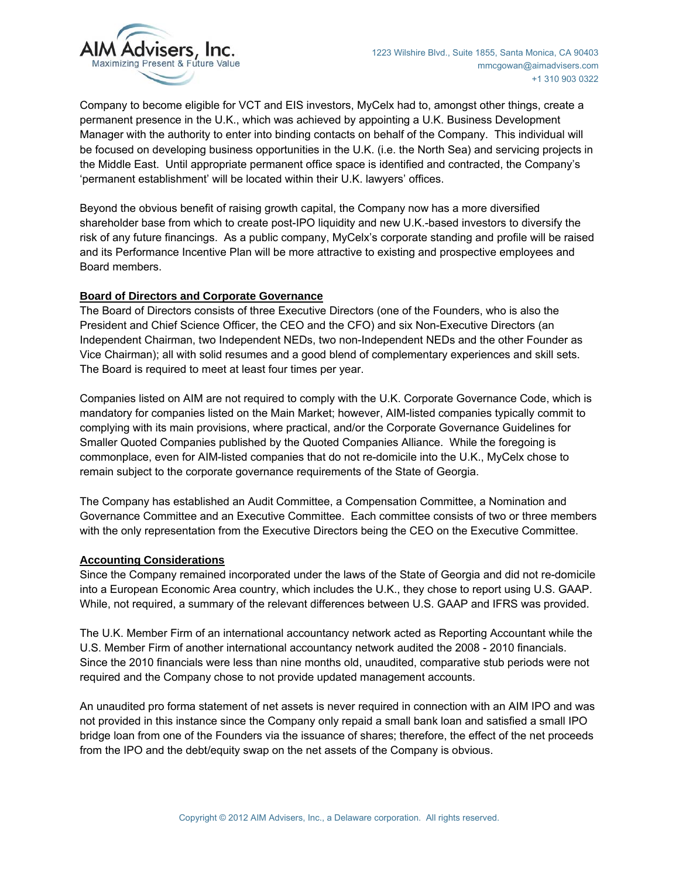

Company to become eligible for VCT and EIS investors, MyCelx had to, amongst other things, create a permanent presence in the U.K., which was achieved by appointing a U.K. Business Development Manager with the authority to enter into binding contacts on behalf of the Company. This individual will be focused on developing business opportunities in the U.K. (i.e. the North Sea) and servicing projects in the Middle East. Until appropriate permanent office space is identified and contracted, the Company's 'permanent establishment' will be located within their U.K. lawyers' offices.

Beyond the obvious benefit of raising growth capital, the Company now has a more diversified shareholder base from which to create post-IPO liquidity and new U.K.-based investors to diversify the risk of any future financings. As a public company, MyCelx's corporate standing and profile will be raised and its Performance Incentive Plan will be more attractive to existing and prospective employees and Board members.

## **Board of Directors and Corporate Governance**

The Board of Directors consists of three Executive Directors (one of the Founders, who is also the President and Chief Science Officer, the CEO and the CFO) and six Non-Executive Directors (an Independent Chairman, two Independent NEDs, two non-Independent NEDs and the other Founder as Vice Chairman); all with solid resumes and a good blend of complementary experiences and skill sets. The Board is required to meet at least four times per year.

Companies listed on AIM are not required to comply with the U.K. Corporate Governance Code, which is mandatory for companies listed on the Main Market; however, AIM-listed companies typically commit to complying with its main provisions, where practical, and/or the Corporate Governance Guidelines for Smaller Quoted Companies published by the Quoted Companies Alliance. While the foregoing is commonplace, even for AIM-listed companies that do not re-domicile into the U.K., MyCelx chose to remain subject to the corporate governance requirements of the State of Georgia.

The Company has established an Audit Committee, a Compensation Committee, a Nomination and Governance Committee and an Executive Committee. Each committee consists of two or three members with the only representation from the Executive Directors being the CEO on the Executive Committee.

#### **Accounting Considerations**

Since the Company remained incorporated under the laws of the State of Georgia and did not re-domicile into a European Economic Area country, which includes the U.K., they chose to report using U.S. GAAP. While, not required, a summary of the relevant differences between U.S. GAAP and IFRS was provided.

The U.K. Member Firm of an international accountancy network acted as Reporting Accountant while the U.S. Member Firm of another international accountancy network audited the 2008 - 2010 financials. Since the 2010 financials were less than nine months old, unaudited, comparative stub periods were not required and the Company chose to not provide updated management accounts.

An unaudited pro forma statement of net assets is never required in connection with an AIM IPO and was not provided in this instance since the Company only repaid a small bank loan and satisfied a small IPO bridge loan from one of the Founders via the issuance of shares; therefore, the effect of the net proceeds from the IPO and the debt/equity swap on the net assets of the Company is obvious.